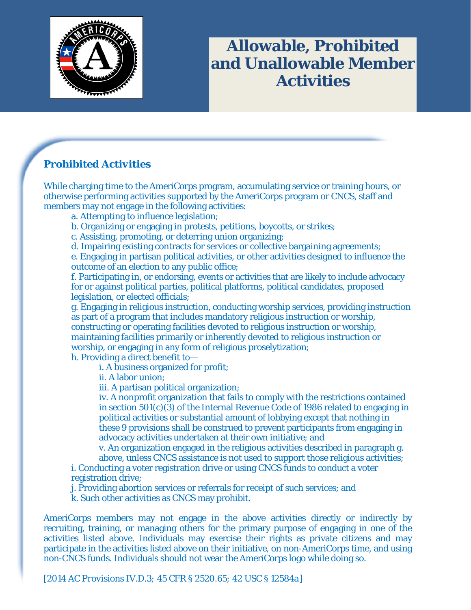

# **Allowable, Prohibited and Unallowable Member Activities**

### *Prohibited Activities*

While charging time to the AmeriCorps program, accumulating service or training hours, or otherwise performing activities supported by the AmeriCorps program or CNCS, staff and members may not engage in the following activities:

a. Attempting to influence legislation;

- b. Organizing or engaging in protests, petitions, boycotts, or strikes;
- c. Assisting, promoting, or deterring union organizing;

d. Impairing existing contracts for services or collective bargaining agreements;

e. Engaging in partisan political activities, or other activities designed to influence the outcome of an election to any public office;

f. Participating in, or endorsing, events or activities that are likely to include advocacy for or against political parties, political platforms, political candidates, proposed legislation, or elected officials;

g. Engaging in religious instruction, conducting worship services, providing instruction as part of a program that includes mandatory religious instruction or worship, constructing or operating facilities devoted to religious instruction or worship, maintaining facilities primarily or inherently devoted to religious instruction or worship, or engaging in any form of religious proselytization;

h. Providing a direct benefit to i. A business organized for profit;

ii. A labor union;

iii. A partisan political organization;

iv. A nonprofit organization that fails to comply with the restrictions contained in section 501(c)(3) of the Internal Revenue Code of 1986 related to engaging in political activities or substantial amount of lobbying except that nothing in these 9 provisions shall be construed to prevent participants from engaging in advocacy activities undertaken at their own initiative; and

v. An organization engaged in the religious activities described in paragraph g. above, unless CNCS assistance is not used to support those religious activities;

i. Conducting a voter registration drive or using CNCS funds to conduct a voter registration drive;

j. Providing abortion services or referrals for receipt of such services; and

k. Such other activities as CNCS may prohibit.

AmeriCorps members may not engage in the above activities directly or indirectly by recruiting, training, or managing others for the primary purpose of engaging in one of the activities listed above. Individuals may exercise their rights as private citizens and may participate in the activities listed above on their initiative, on non-AmeriCorps time, and using non-CNCS funds. Individuals should not wear the AmeriCorps logo while doing so.

*[2014 AC Provisions IV.D.3; 45 CFR § 2520.65; 42 USC § 12584a]*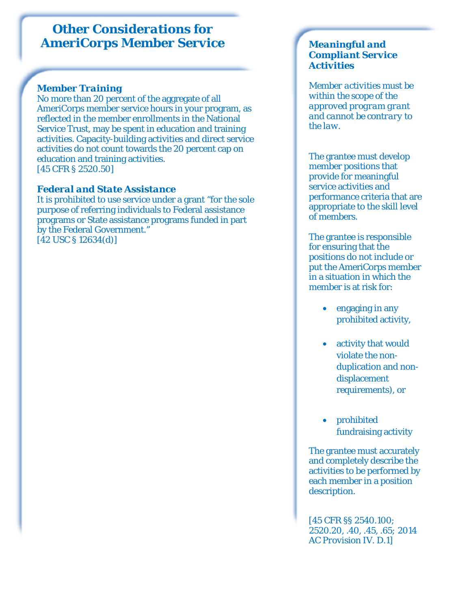## *Other Considerations for AmeriCorps Member Service*

#### *Member Training*

No more than 20 percent of the aggregate of all AmeriCorps member service hours in your program, as reflected in the member enrollments in the National Service Trust, may be spent in education and training activities. Capacity-building activities and direct service activities do not count towards the 20 percent cap on education and training activities. *[45 CFR § 2520.50]*

#### *Federal and State Assistance*

It is prohibited to use service under a grant "for the sole purpose of referring individuals to Federal assistance programs or State assistance programs funded in part by the Federal Government." *[42 USC § 12634(d)]*

#### *Meaningful and Compliant Service Activities*

*Member activities must be within the scope of the approved program grant and cannot be contrary to the law.* 

The grantee must develop member positions that provide for meaningful service activities and performance criteria that are appropriate to the skill level of members.

The grantee is responsible for ensuring that the positions do not include or put the AmeriCorps member in a situation in which the member is at risk for:

- engaging in any prohibited activity,
- activity that would violate the nonduplication and nondisplacement requirements), or
- prohibited fundraising activity

The grantee must accurately and completely describe the activities to be performed by each member in a position description.

*[45 CFR §§ 2540.100; 2520.20, .40, .45, .65; 2014 AC Provision IV. D.1]*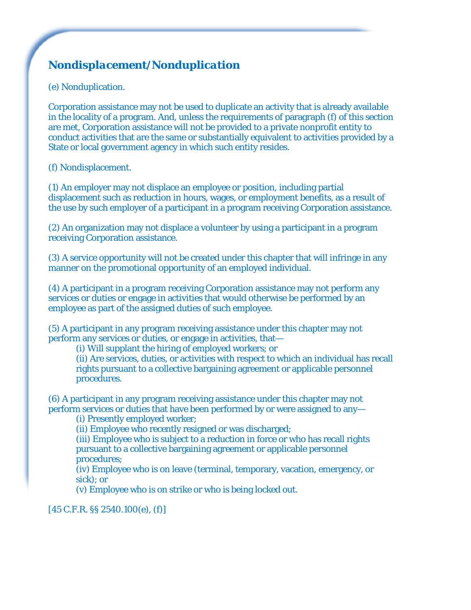## *Nondisplacement/Nonduplication*

#### (e) Nonduplication.

Corporation assistance may not be used to duplicate an activity that is already available in the locality of a program. And, unless the requirements of paragraph (f) of this section are met, Corporation assistance will not be provided to a private nonprofit entity to conduct activities that are the same or substantially equivalent to activities provided by a State or local government agency in which such entity resides.

#### (f) Nondisplacement.

(1) An employer may not displace an employee or position, including partial displacement such as reduction in hours, wages, or employment benefits, as a result of the use by such employer of a participant in a program receiving Corporation assistance.

(2) An organization may not displace a volunteer by using a participant in a program receiving Corporation assistance.

(3) A service opportunity will not be created under this chapter that will infringe in any manner on the promotional opportunity of an employed individual.

(4) A participant in a program receiving Corporation assistance may not perform any services or duties or engage in activities that would otherwise be performed by an employee as part of the assigned duties of such employee.

(5) A participant in any program receiving assistance under this chapter may not perform any services or duties, or engage in activities, that—

(i) Will supplant the hiring of employed workers; or

(ii) Are services, duties, or activities with respect to which an individual has recall rights pursuant to a collective bargaining agreement or applicable personnel procedures.

(6) A participant in any program receiving assistance under this chapter may not perform services or duties that have been performed by or were assigned to any—

(i) Presently employed worker;

(ii) Employee who recently resigned or was discharged;

(iii) Employee who is subject to a reduction in force or who has recall rights pursuant to a collective bargaining agreement or applicable personnel procedures;

(iv) Employee who is on leave (terminal, temporary, vacation, emergency, or sick); or

(v) Employee who is on strike or who is being locked out.

*[45 C.F.R. §§ 2540.100(e), (f)]*